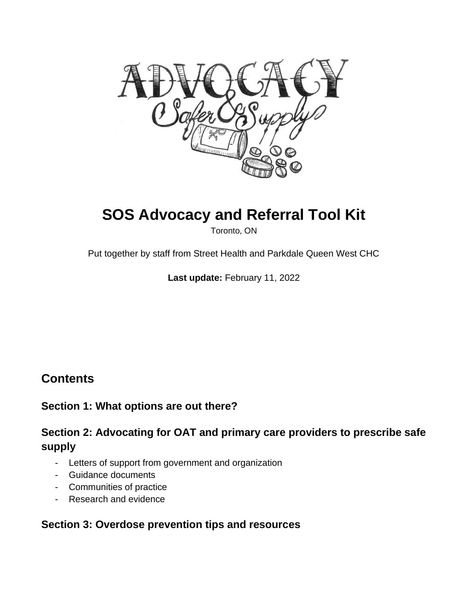

# **SOS Advocacy and Referral Tool Kit**

Toronto, ON

Put together by staff from Street Health and Parkdale Queen West CHC

**Last update:** February 11, 2022

# **Contents**

# **Section 1: What options are out there?**

# **Section 2: Advocating for OAT and primary care providers to prescribe safe supply**

- Letters of support from government and organization
- Guidance documents
- Communities of practice
- Research and evidence

# **Section 3: Overdose prevention tips and resources**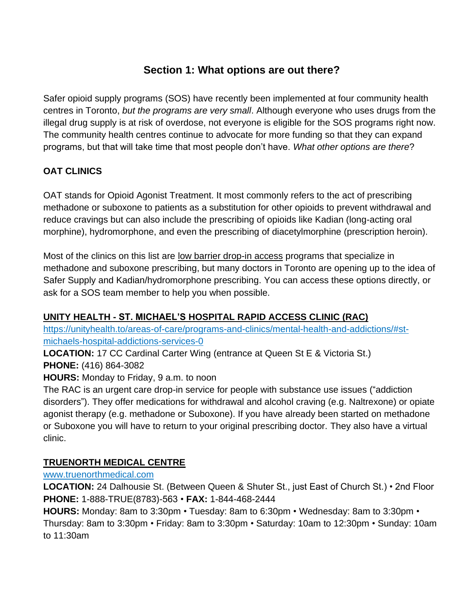# **Section 1: What options are out there?**

Safer opioid supply programs (SOS) have recently been implemented at four community health centres in Toronto, *but the programs are very small*. Although everyone who uses drugs from the illegal drug supply is at risk of overdose, not everyone is eligible for the SOS programs right now. The community health centres continue to advocate for more funding so that they can expand programs, but that will take time that most people don't have. *What other options are there*?

# **OAT CLINICS**

OAT stands for Opioid Agonist Treatment. It most commonly refers to the act of prescribing methadone or suboxone to patients as a substitution for other opioids to prevent withdrawal and reduce cravings but can also include the prescribing of opioids like Kadian (long-acting oral morphine), hydromorphone, and even the prescribing of diacetylmorphine (prescription heroin).

Most of the clinics on this list are low barrier drop-in access programs that specialize in methadone and suboxone prescribing, but many doctors in Toronto are opening up to the idea of Safer Supply and Kadian/hydromorphone prescribing. You can access these options directly, or ask for a SOS team member to help you when possible.

# **UNITY HEALTH - ST. MICHAEL'S HOSPITAL RAPID ACCESS CLINIC (RAC)**

[https://unityhealth.to/areas-of-care/programs-and-clinics/mental-health-and-addictions/#st](https://unityhealth.to/areas-of-care/programs-and-clinics/mental-health-and-addictions/#st-michaels-hospital-addictions-services-0)[michaels-hospital-addictions-services-0](https://unityhealth.to/areas-of-care/programs-and-clinics/mental-health-and-addictions/#st-michaels-hospital-addictions-services-0)

**LOCATION:** 17 CC Cardinal Carter Wing (entrance at Queen St E & Victoria St.) **PHONE:** (416) 864-3082

# **HOURS:** Monday to Friday, 9 a.m. to noon

The RAC is an urgent care drop-in service for people with substance use issues ("addiction disorders"). They offer medications for withdrawal and alcohol craving (e.g. Naltrexone) or opiate agonist therapy (e.g. methadone or Suboxone). If you have already been started on methadone or Suboxone you will have to return to your original prescribing doctor. They also have a virtual clinic.

# **TRUENORTH MEDICAL CENTRE**

[www.truenorthmedical.com](http://www.truenorthmedical.com/)

**LOCATION:** 24 Dalhousie St. (Between Queen & Shuter St., just East of Church St.) • 2nd Floor **PHONE:** 1-888-TRUE(8783)-563 • **FAX:** 1-844-468-2444

**HOURS:** Monday: 8am to 3:30pm • Tuesday: 8am to 6:30pm • Wednesday: 8am to 3:30pm • Thursday: 8am to 3:30pm • Friday: 8am to 3:30pm • Saturday: 10am to 12:30pm • Sunday: 10am to 11:30am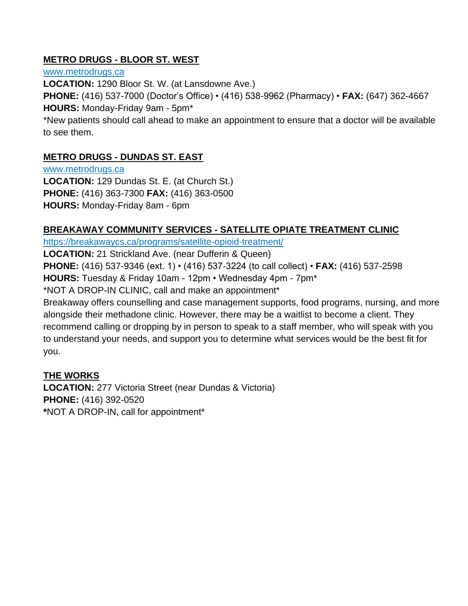# **METRO DRUGS - BLOOR ST. WEST**

[www.metrodrugs.ca](http://www.metrodrugs.ca/) **LOCATION:** 1290 Bloor St. W. (at Lansdowne Ave.) **PHONE:** (416) 537-7000 (Doctor's Office) • (416) 538-9962 (Pharmacy) • **FAX:** (647) 362-4667 **HOURS:** Monday-Friday 9am - 5pm\* \*New patients should call ahead to make an appointment to ensure that a doctor will be available

to see them.

# **METRO DRUGS - DUNDAS ST. EAST**

[www.metrodrugs.ca](http://www.metrodrugs.ca/) **LOCATION:** 129 Dundas St. E. (at Church St.) **PHONE:** (416) 363-7300 **FAX:** (416) 363-0500 **HOURS:** Monday-Friday 8am - 6pm

# **BREAKAWAY COMMUNITY SERVICES - SATELLITE OPIATE TREATMENT CLINIC**

<https://breakawaycs.ca/programs/satellite-opioid-treatment/>

**LOCATION:** 21 Strickland Ave. (near Dufferin & Queen)

**PHONE:** (416) 537-9346 (ext. 1) • (416) 537-3224 (to call collect) • **FAX:** (416) 537-2598

**HOURS:** Tuesday & Friday 10am - 12pm • Wednesday 4pm - 7pm\*

\*NOT A DROP-IN CLINIC, call and make an appointment\*

Breakaway offers counselling and case management supports, food programs, nursing, and more alongside their methadone clinic. However, there may be a waitlist to become a client. They recommend calling or dropping by in person to speak to a staff member, who will speak with you to understand your needs, and support you to determine what services would be the best fit for you.

# **THE WORKS**

**LOCATION:** 277 Victoria Street (near Dundas & Victoria) **PHONE:** (416) 392-0520 **\***NOT A DROP-IN, call for appointment\*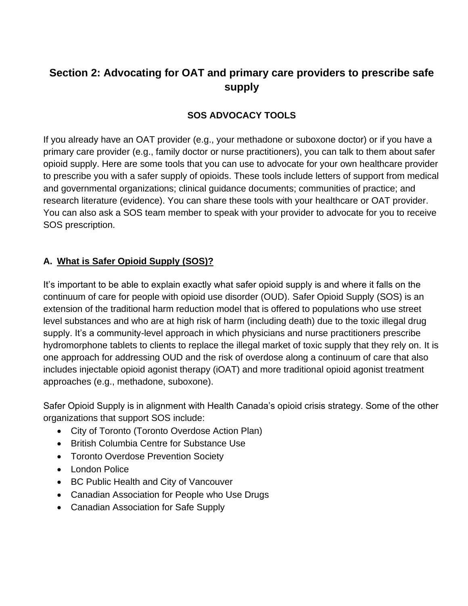# **Section 2: Advocating for OAT and primary care providers to prescribe safe supply**

## **SOS ADVOCACY TOOLS**

If you already have an OAT provider (e.g., your methadone or suboxone doctor) or if you have a primary care provider (e.g., family doctor or nurse practitioners), you can talk to them about safer opioid supply. Here are some tools that you can use to advocate for your own healthcare provider to prescribe you with a safer supply of opioids. These tools include letters of support from medical and governmental organizations; clinical guidance documents; communities of practice; and research literature (evidence). You can share these tools with your healthcare or OAT provider. You can also ask a SOS team member to speak with your provider to advocate for you to receive SOS prescription.

#### **A. What is Safer Opioid Supply (SOS)?**

It's important to be able to explain exactly what safer opioid supply is and where it falls on the continuum of care for people with opioid use disorder (OUD). Safer Opioid Supply (SOS) is an extension of the traditional harm reduction model that is offered to populations who use street level substances and who are at high risk of harm (including death) due to the toxic illegal drug supply. It's a community-level approach in which physicians and nurse practitioners prescribe hydromorphone tablets to clients to replace the illegal market of toxic supply that they rely on. It is one approach for addressing OUD and the risk of overdose along a continuum of care that also includes injectable opioid agonist therapy (iOAT) and more traditional opioid agonist treatment approaches (e.g., methadone, suboxone).

Safer Opioid Supply is in alignment with Health Canada's opioid crisis strategy. Some of the other organizations that support SOS include:

- City of Toronto (Toronto Overdose Action Plan)
- British Columbia Centre for Substance Use
- Toronto Overdose Prevention Society
- London Police
- BC Public Health and City of Vancouver
- Canadian Association for People who Use Drugs
- Canadian Association for Safe Supply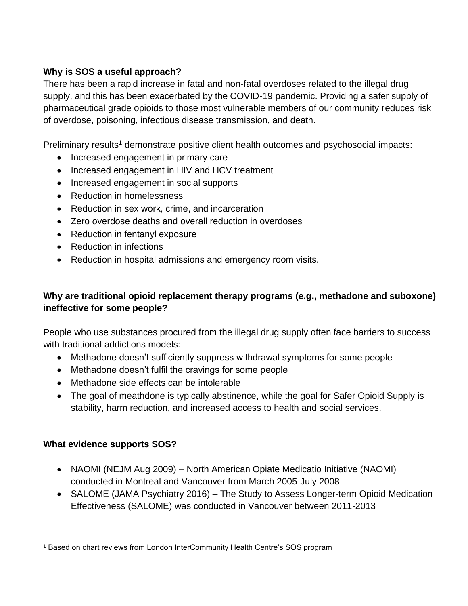# **Why is SOS a useful approach?**

There has been a rapid increase in fatal and non-fatal overdoses related to the illegal drug supply, and this has been exacerbated by the COVID-19 pandemic. Providing a safer supply of pharmaceutical grade opioids to those most vulnerable members of our community reduces risk of overdose, poisoning, infectious disease transmission, and death.

Preliminary results<sup>1</sup> demonstrate positive client health outcomes and psychosocial impacts:

- Increased engagement in primary care
- Increased engagement in HIV and HCV treatment
- Increased engagement in social supports
- Reduction in homelessness
- Reduction in sex work, crime, and incarceration
- Zero overdose deaths and overall reduction in overdoses
- Reduction in fentanyl exposure
- Reduction in infections
- Reduction in hospital admissions and emergency room visits.

# **Why are traditional opioid replacement therapy programs (e.g., methadone and suboxone) ineffective for some people?**

People who use substances procured from the illegal drug supply often face barriers to success with traditional addictions models:

- Methadone doesn't sufficiently suppress withdrawal symptoms for some people
- Methadone doesn't fulfil the cravings for some people
- Methadone side effects can be intolerable
- The goal of meathdone is typically abstinence, while the goal for Safer Opioid Supply is stability, harm reduction, and increased access to health and social services.

# **What evidence supports SOS?**

- NAOMI (NEJM Aug 2009) North American Opiate Medicatio Initiative (NAOMI) conducted in Montreal and Vancouver from March 2005-July 2008
- SALOME (JAMA Psychiatry 2016) The Study to Assess Longer-term Opioid Medication Effectiveness (SALOME) was conducted in Vancouver between 2011-2013

<sup>1</sup> Based on chart reviews from London InterCommunity Health Centre's SOS program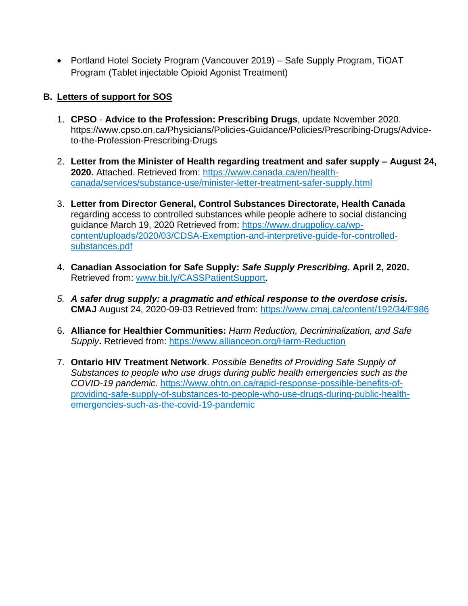• Portland Hotel Society Program (Vancouver 2019) – Safe Supply Program, TiOAT Program (Tablet injectable Opioid Agonist Treatment)

## **B. Letters of support for SOS**

- 1. **CPSO Advice to the Profession: Prescribing Drugs**, update November 2020. https://www.cpso.on.ca/Physicians/Policies-Guidance/Policies/Prescribing-Drugs/Adviceto-the-Profession-Prescribing-Drugs
- 2. **Letter from the Minister of Health regarding treatment and safer supply – August 24, 2020.** Attached. Retrieved from: [https://www.canada.ca/en/health](https://www.canada.ca/en/health-canada/services/substance-use/minister-letter-treatment-safer-supply.html)[canada/services/substance-use/minister-letter-treatment-safer-supply.html](https://www.canada.ca/en/health-canada/services/substance-use/minister-letter-treatment-safer-supply.html)
- 3. **Letter from Director General, Control Substances Directorate, Health Canada**  regarding access to controlled substances while people adhere to social distancing guidance March 19, 2020 Retrieved from: [https://www.drugpolicy.ca/wp](https://www.drugpolicy.ca/wp-content/uploads/2020/03/CDSA-Exemption-and-interpretive-guide-for-controlled-substances.pdf)[content/uploads/2020/03/CDSA-Exemption-and-interpretive-guide-for-controlled](https://www.drugpolicy.ca/wp-content/uploads/2020/03/CDSA-Exemption-and-interpretive-guide-for-controlled-substances.pdf)[substances.pdf](https://www.drugpolicy.ca/wp-content/uploads/2020/03/CDSA-Exemption-and-interpretive-guide-for-controlled-substances.pdf)
- 4. **Canadian Association for Safe Supply:** *Safe Supply Prescribing***. April 2, 2020.** Retrieved from: [www.bit.ly/CASSPatientSupport.](http://www.bit.ly/CASSPatientSupport)
- *5. A safer drug supply: a pragmatic and ethical response to the overdose crisis.* **CMAJ** August 24, 2020-09-03 Retrieved from:<https://www.cmaj.ca/content/192/34/E986>
- 6. **Alliance for Healthier Communities:** *Harm Reduction, Decriminalization, and Safe Supply***.** Retrieved from:<https://www.allianceon.org/Harm-Reduction>
- 7. **Ontario HIV Treatment Network**. *Possible Benefits of Providing Safe Supply of Substances to people who use drugs during public health emergencies such as the COVID-19 pandemic*. [https://www.ohtn.on.ca/rapid-response-possible-benefits-of](https://www.ohtn.on.ca/rapid-response-possible-benefits-of-providing-safe-supply-of-substances-to-people-who-use-drugs-during-public-health-emergencies-such-as-the-covid-19-pandemic)[providing-safe-supply-of-substances-to-people-who-use-drugs-during-public-health](https://www.ohtn.on.ca/rapid-response-possible-benefits-of-providing-safe-supply-of-substances-to-people-who-use-drugs-during-public-health-emergencies-such-as-the-covid-19-pandemic)[emergencies-such-as-the-covid-19-pandemic](https://www.ohtn.on.ca/rapid-response-possible-benefits-of-providing-safe-supply-of-substances-to-people-who-use-drugs-during-public-health-emergencies-such-as-the-covid-19-pandemic)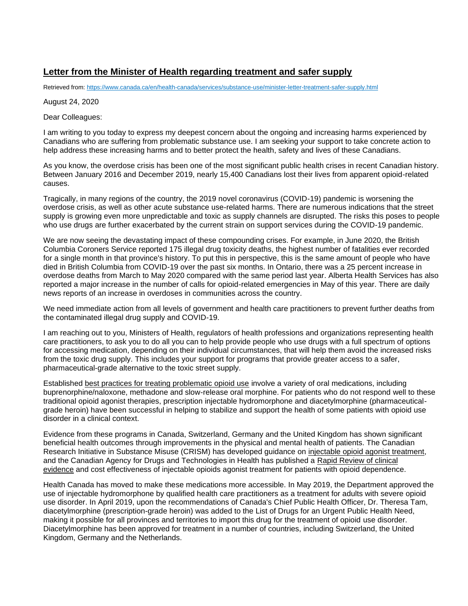#### **Letter from the Minister of Health regarding treatment and safer supply**

Retrieved from[: https://www.canada.ca/en/health-canada/services/substance-use/minister-letter-treatment-safer-supply.html](https://www.canada.ca/en/health-canada/services/substance-use/minister-letter-treatment-safer-supply.html)

#### August 24, 2020

Dear Colleagues:

I am writing to you today to express my deepest concern about the ongoing and increasing harms experienced by Canadians who are suffering from problematic substance use. I am seeking your support to take concrete action to help address these increasing harms and to better protect the health, safety and lives of these Canadians.

As you know, the overdose crisis has been one of the most significant public health crises in recent Canadian history. Between January 2016 and December 2019, nearly 15,400 Canadians lost their lives from apparent opioid-related causes.

Tragically, in many regions of the country, the 2019 novel coronavirus (COVID-19) pandemic is worsening the overdose crisis, as well as other acute substance use-related harms. There are numerous indications that the street supply is growing even more unpredictable and toxic as supply channels are disrupted. The risks this poses to people who use drugs are further exacerbated by the current strain on support services during the COVID-19 pandemic.

We are now seeing the devastating impact of these compounding crises. For example, in June 2020, the British Columbia Coroners Service reported 175 illegal drug toxicity deaths, the highest number of fatalities ever recorded for a single month in that province's history. To put this in perspective, this is the same amount of people who have died in British Columbia from COVID-19 over the past six months. In Ontario, there was a 25 percent increase in overdose deaths from March to May 2020 compared with the same period last year. Alberta Health Services has also reported a major increase in the number of calls for opioid-related emergencies in May of this year. There are daily news reports of an increase in overdoses in communities across the country.

We need immediate action from all levels of government and health care practitioners to prevent further deaths from the contaminated illegal drug supply and COVID-19.

I am reaching out to you, Ministers of Health, regulators of health professions and organizations representing health care practitioners, to ask you to do all you can to help provide people who use drugs with a full spectrum of options for accessing medication, depending on their individual circumstances, that will help them avoid the increased risks from the toxic drug supply. This includes your support for programs that provide greater access to a safer, pharmaceutical-grade alternative to the toxic street supply.

Established [best practices for treating problematic opioid use](https://crism.ca/projects/opioid-guideline/) involve a variety of oral medications, including buprenorphine/naloxone, methadone and slow-release oral morphine. For patients who do not respond well to these traditional opioid agonist therapies, prescription injectable hydromorphone and diacetylmorphine (pharmaceuticalgrade heroin) have been successful in helping to stabilize and support the health of some patients with opioid use disorder in a clinical context.

Evidence from these programs in Canada, Switzerland, Germany and the United Kingdom has shown significant beneficial health outcomes through improvements in the physical and mental health of patients. The Canadian Research Initiative in Substance Misuse (CRISM) has developed guidance on [injectable opioid agonist treatment,](https://crism.ca/projects/ioat-guideline/) and the Canadian Agency for Drugs and Technologies in Health has published a [Rapid Review of clinical](https://cadth.ca/injectable-opioid-agonist-treatment-patients-opioid-dependence-review-clinical-and-cost)  [evidence](https://cadth.ca/injectable-opioid-agonist-treatment-patients-opioid-dependence-review-clinical-and-cost) and cost effectiveness of injectable opioids agonist treatment for patients with opioid dependence.

Health Canada has moved to make these medications more accessible. In May 2019, the Department approved the use of injectable hydromorphone by qualified health care practitioners as a treatment for adults with severe opioid use disorder. In April 2019, upon the recommendations of Canada's Chief Public Health Officer, Dr. Theresa Tam, diacetylmorphine (prescription-grade heroin) was added to the List of Drugs for an Urgent Public Health Need, making it possible for all provinces and territories to import this drug for the treatment of opioid use disorder. Diacetylmorphine has been approved for treatment in a number of countries, including Switzerland, the United Kingdom, Germany and the Netherlands.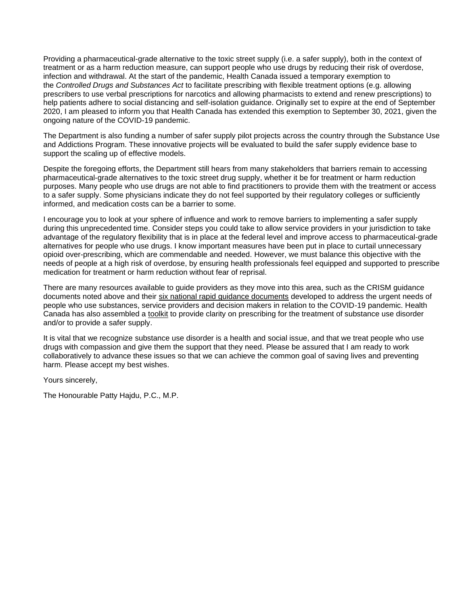Providing a pharmaceutical-grade alternative to the toxic street supply (i.e. a safer supply), both in the context of treatment or as a harm reduction measure, can support people who use drugs by reducing their risk of overdose, infection and withdrawal. At the start of the pandemic, Health Canada issued a temporary exemption to the *Controlled Drugs and Substances Act* to facilitate prescribing with flexible treatment options (e.g. allowing prescribers to use verbal prescriptions for narcotics and allowing pharmacists to extend and renew prescriptions) to help patients adhere to social distancing and self-isolation guidance. Originally set to expire at the end of September 2020, I am pleased to inform you that Health Canada has extended this exemption to September 30, 2021, given the ongoing nature of the COVID-19 pandemic.

The Department is also funding a number of safer supply pilot projects across the country through the Substance Use and Addictions Program. These innovative projects will be evaluated to build the safer supply evidence base to support the scaling up of effective models.

Despite the foregoing efforts, the Department still hears from many stakeholders that barriers remain to accessing pharmaceutical-grade alternatives to the toxic street drug supply, whether it be for treatment or harm reduction purposes. Many people who use drugs are not able to find practitioners to provide them with the treatment or access to a safer supply. Some physicians indicate they do not feel supported by their regulatory colleges or sufficiently informed, and medication costs can be a barrier to some.

I encourage you to look at your sphere of influence and work to remove barriers to implementing a safer supply during this unprecedented time. Consider steps you could take to allow service providers in your jurisdiction to take advantage of the regulatory flexibility that is in place at the federal level and improve access to pharmaceutical-grade alternatives for people who use drugs. I know important measures have been put in place to curtail unnecessary opioid over-prescribing, which are commendable and needed. However, we must balance this objective with the needs of people at a high risk of overdose, by ensuring health professionals feel equipped and supported to prescribe medication for treatment or harm reduction without fear of reprisal.

There are many resources available to guide providers as they move into this area, such as the CRISM guidance documents noted above and their [six national rapid guidance documents](https://crism.ca/projects/covid/) developed to address the urgent needs of people who use substances, service providers and decision makers in relation to the COVID-19 pandemic. Health Canada has also assembled a [toolkit](https://www.canada.ca/en/health-canada/services/substance-use/toolkit-substance-use-covid-19.html) to provide clarity on prescribing for the treatment of substance use disorder and/or to provide a safer supply.

It is vital that we recognize substance use disorder is a health and social issue, and that we treat people who use drugs with compassion and give them the support that they need. Please be assured that I am ready to work collaboratively to advance these issues so that we can achieve the common goal of saving lives and preventing harm. Please accept my best wishes.

Yours sincerely,

The Honourable Patty Hajdu, P.C., M.P.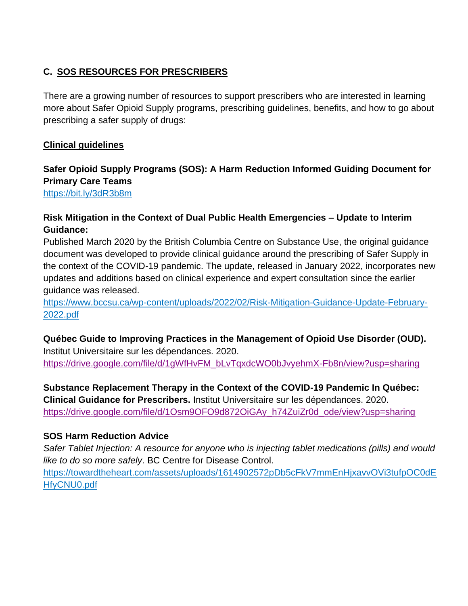# **C. SOS RESOURCES FOR PRESCRIBERS**

There are a growing number of resources to support prescribers who are interested in learning more about Safer Opioid Supply programs, prescribing guidelines, benefits, and how to go about prescribing a safer supply of drugs:

## **Clinical guidelines**

# **Safer Opioid Supply Programs (SOS): A Harm Reduction Informed Guiding Document for Primary Care Teams**

<https://bit.ly/3dR3b8m>

# **Risk Mitigation in the Context of Dual Public Health Emergencies – Update to Interim Guidance:**

Published March 2020 by the British Columbia Centre on Substance Use, the original guidance document was developed to provide clinical guidance around the prescribing of Safer Supply in the context of the COVID-19 pandemic. The update, released in January 2022, incorporates new updates and additions based on clinical experience and expert consultation since the earlier guidance was released.

[https://www.bccsu.ca/wp-content/uploads/2022/02/Risk-Mitigation-Guidance-Update-February-](https://www.bccsu.ca/wp-content/uploads/2022/02/Risk-Mitigation-Guidance-Update-February-2022.pdf)[2022.pdf](https://www.bccsu.ca/wp-content/uploads/2022/02/Risk-Mitigation-Guidance-Update-February-2022.pdf)

#### **Québec Guide to Improving Practices in the Management of Opioid Use Disorder (OUD).** Institut Universitaire sur les dépendances. 2020.

[https://drive.google.com/file/d/1gWfHvFM\\_bLvTqxdcWO0bJvyehmX-Fb8n/view?usp=sharing](https://drive.google.com/file/d/1gWfHvFM_bLvTqxdcWO0bJvyehmX-Fb8n/view?usp=sharing)

## **Substance Replacement Therapy in the Context of the COVID-19 Pandemic In Québec: Clinical Guidance for Prescribers.** Institut Universitaire sur les dépendances. 2020. [https://drive.google.com/file/d/1Osm9OFO9d872OiGAy\\_h74ZuiZr0d\\_ode/view?usp=sharing](https://drive.google.com/file/d/1Osm9OFO9d872OiGAy_h74ZuiZr0d_ode/view?usp=sharing)

# **SOS Harm Reduction Advice**

*Safer Tablet Injection: A resource for anyone who is injecting tablet medications (pills) and would like to do so more safely*. BC Centre for Disease Control.

[https://towardtheheart.com/assets/uploads/1614902572pDb5cFkV7mmEnHjxavvOVi3tufpOC0dE](https://towardtheheart.com/assets/uploads/1614902572pDb5cFkV7mmEnHjxavvOVi3tufpOC0dEHfyCNU0.pdf) [HfyCNU0.pdf](https://towardtheheart.com/assets/uploads/1614902572pDb5cFkV7mmEnHjxavvOVi3tufpOC0dEHfyCNU0.pdf)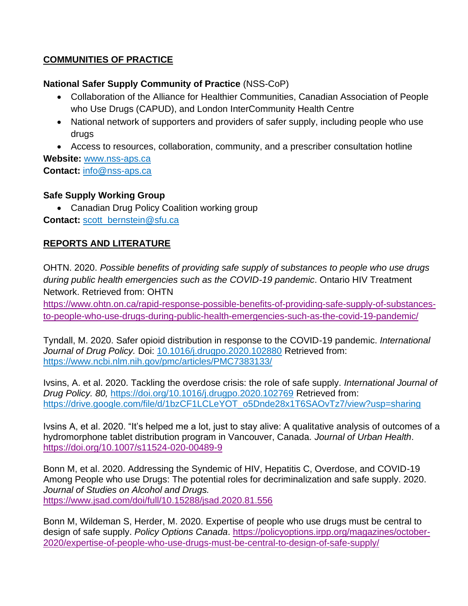# **COMMUNITIES OF PRACTICE**

## **National Safer Supply Community of Practice** (NSS-CoP)

- Collaboration of the Alliance for Healthier Communities, Canadian Association of People who Use Drugs (CAPUD), and London InterCommunity Health Centre
- National network of supporters and providers of safer supply, including people who use drugs
- Access to resources, collaboration, community, and a prescriber consultation hotline

**Website:** [www.nss-aps.ca](http://www.nss-aps.ca/) **Contact:** [info@nss-aps.ca](mailto:info@nss-aps.ca)

## **Safe Supply Working Group**

• Canadian Drug Policy Coalition working group

**Contact:** [scott\\_bernstein@sfu.ca](mailto:scott_bernstein@sfu.ca)

# **REPORTS AND LITERATURE**

OHTN. 2020. *Possible benefits of providing safe supply of substances to people who use drugs during public health emergencies such as the COVID-19 pandemic*. Ontario HIV Treatment Network. Retrieved from: OHTN

[https://www.ohtn.on.ca/rapid-response-possible-benefits-of-providing-safe-supply-of-substances](https://www.ohtn.on.ca/rapid-response-possible-benefits-of-providing-safe-supply-of-substances-to-people-who-use-drugs-during-public-health-emergencies-such-as-the-covid-19-pandemic/)[to-people-who-use-drugs-during-public-health-emergencies-such-as-the-covid-19-pandemic/](https://www.ohtn.on.ca/rapid-response-possible-benefits-of-providing-safe-supply-of-substances-to-people-who-use-drugs-during-public-health-emergencies-such-as-the-covid-19-pandemic/)

Tyndall, M. 2020. Safer opioid distribution in response to the COVID-19 pandemic. *International Journal of Drug Policy.* Doi: [10.1016/j.drugpo.2020.102880](https://dx.doi.org/10.1016%2Fj.drugpo.2020.102880) Retrieved from: <https://www.ncbi.nlm.nih.gov/pmc/articles/PMC7383133/>

Ivsins, A. et al. 2020. Tackling the overdose crisis: the role of safe supply. *International Journal of Drug Policy. 80,* <https://doi.org/10.1016/j.drugpo.2020.102769> Retrieved from: [https://drive.google.com/file/d/1bzCF1LCLeYOT\\_o5Dnde28x1T6SAOvTz7/view?usp=sharing](https://drive.google.com/file/d/1bzCF1LCLeYOT_o5Dnde28x1T6SAOvTz7/view?usp=sharing)

Ivsins A, et al. 2020. "It's helped me a lot, just to stay alive: A qualitative analysis of outcomes of a hydromorphone tablet distribution program in Vancouver, Canada. *Journal of Urban Health*. <https://doi.org/10.1007/s11524-020-00489-9>

Bonn M, et al. 2020. Addressing the Syndemic of HIV, Hepatitis C, Overdose, and COVID-19 Among People who use Drugs: The potential roles for decriminalization and safe supply. 2020. *Journal of Studies on Alcohol and Drugs.* <https://www.jsad.com/doi/full/10.15288/jsad.2020.81.556>

Bonn M, Wildeman S, Herder, M. 2020. Expertise of people who use drugs must be central to design of safe supply. *Policy Options Canada*. [https://policyoptions.irpp.org/magazines/october-](https://policyoptions.irpp.org/magazines/october-2020/expertise-of-people-who-use-drugs-must-be-central-to-design-of-safe-supply/)[2020/expertise-of-people-who-use-drugs-must-be-central-to-design-of-safe-supply/](https://policyoptions.irpp.org/magazines/october-2020/expertise-of-people-who-use-drugs-must-be-central-to-design-of-safe-supply/)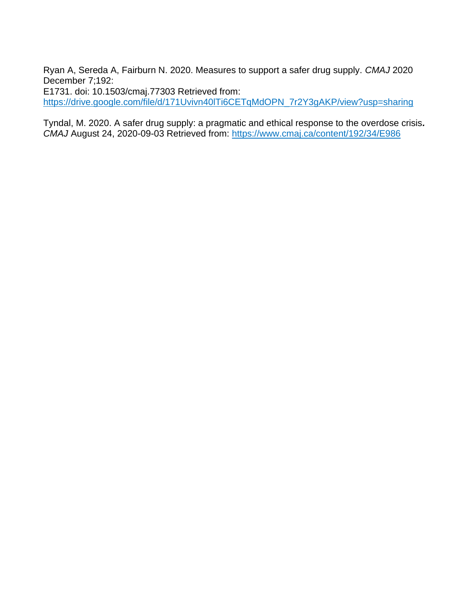Ryan A, Sereda A, Fairburn N. 2020. Measures to support a safer drug supply. *CMAJ* 2020 December 7;192:

E1731. doi: 10.1503/cmaj.77303 Retrieved from: [https://drive.google.com/file/d/171Uvivn40lTi6CETqMdOPN\\_7r2Y3gAKP/view?usp=sharing](https://drive.google.com/file/d/171Uvivn40lTi6CETqMdOPN_7r2Y3gAKP/view?usp=sharing)

Tyndal, M. 2020. A safer drug supply: a pragmatic and ethical response to the overdose crisis*. CMAJ* August 24, 2020-09-03 Retrieved from:<https://www.cmaj.ca/content/192/34/E986>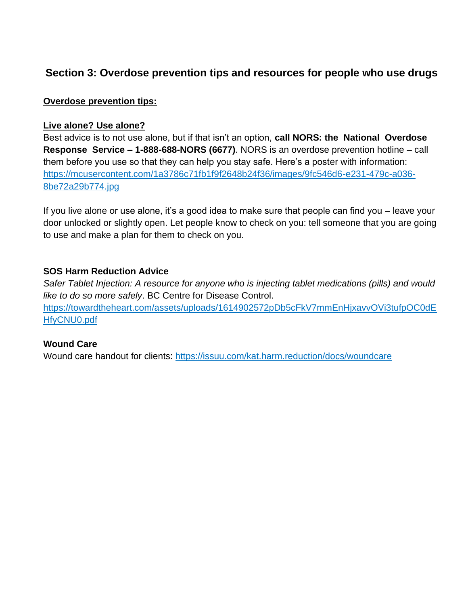# **Section 3: Overdose prevention tips and resources for people who use drugs**

#### **Overdose prevention tips:**

#### **Live alone? Use alone?**

Best advice is to not use alone, but if that isn't an option, **call NORS: the National Overdose Response Service – 1-888-688-NORS (6677)**. NORS is an overdose prevention hotline – call them before you use so that they can help you stay safe. Here's a poster with information: [https://mcusercontent.com/1a3786c71fb1f9f2648b24f36/images/9fc546d6-e231-479c-a036-](https://mcusercontent.com/1a3786c71fb1f9f2648b24f36/images/9fc546d6-e231-479c-a036-8be72a29b774.jpg) [8be72a29b774.jpg](https://mcusercontent.com/1a3786c71fb1f9f2648b24f36/images/9fc546d6-e231-479c-a036-8be72a29b774.jpg)

If you live alone or use alone, it's a good idea to make sure that people can find you – leave your door unlocked or slightly open. Let people know to check on you: tell someone that you are going to use and make a plan for them to check on you.

#### **SOS Harm Reduction Advice**

*Safer Tablet Injection: A resource for anyone who is injecting tablet medications (pills) and would like to do so more safely*. BC Centre for Disease Control. [https://towardtheheart.com/assets/uploads/1614902572pDb5cFkV7mmEnHjxavvOVi3tufpOC0dE](https://towardtheheart.com/assets/uploads/1614902572pDb5cFkV7mmEnHjxavvOVi3tufpOC0dEHfyCNU0.pdf) [HfyCNU0.pdf](https://towardtheheart.com/assets/uploads/1614902572pDb5cFkV7mmEnHjxavvOVi3tufpOC0dEHfyCNU0.pdf)

#### **Wound Care**

Wound care handout for clients:<https://issuu.com/kat.harm.reduction/docs/woundcare>